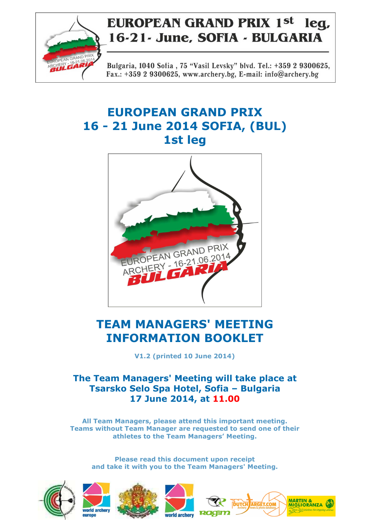

Bulgaria, 1040 Sofia, 75 "Vasil Levsky" blvd. Tel.: +359 2 9300625, Fax.: +359 2 9300625, www.archery.bg, E-mail: info@archery.bg

# **EUROPEAN GRAND PRIX 16 - 21 June 2014 SOFIA, (BUL) 1st leg**



# **TEAM MANAGERS' MEETING INFORMATION BOOKLET**

**V1.2 (printed 10 June 2014)** 

# **The Team Managers' Meeting will take place at Tsarsko Selo Spa Hotel, Sofia – Bulgaria 17 June 2014, at 11.00**

**All Team Managers, please attend this important meeting. Teams without Team Manager are requested to send one of their athletes to the Team Managers' Meeting.** 

**Please read this document upon receipt and take it with you to the Team Managers' Meeting.** 









MARTIN &<br>MIGLIORANZA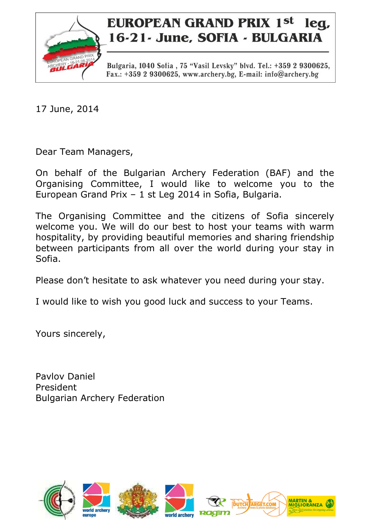

Bulgaria, 1040 Sofia, 75 "Vasil Levsky" blvd. Tel.: +359 2 9300625, Fax.: +359 2 9300625, www.archery.bg, E-mail: info@archery.bg

17 June, 2014

Dear Team Managers,

On behalf of the Bulgarian Archery Federation (BAF) and the Organising Committee, I would like to welcome you to the European Grand Prix – 1 st Leg 2014 in Sofia, Bulgaria.

The Organising Committee and the citizens of Sofia sincerely welcome you. We will do our best to host your teams with warm hospitality, by providing beautiful memories and sharing friendship between participants from all over the world during your stay in Sofia.

Please don't hesitate to ask whatever you need during your stay.

I would like to wish you good luck and success to your Teams.

Yours sincerely,

Pavlov Daniel President Bulgarian Archery Federation

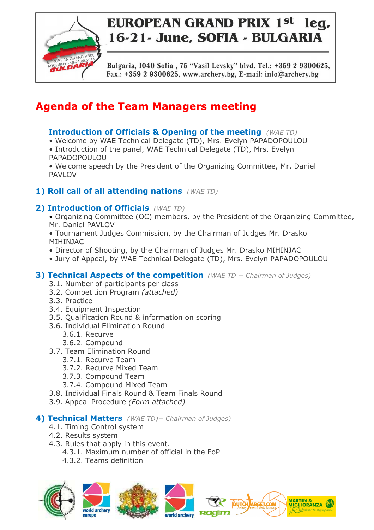

Bulgaria, 1040 Sofia, 75 "Vasil Levsky" blvd. Tel.: +359 2 9300625, Fax.: +359 2 9300625, www.archery.bg, E-mail: info@archery.bg

# **Agenda of the Team Managers meeting**

## **Introduction of Officials & Opening of the meeting** *(WAE TD)*

- Welcome by WAE Technical Delegate (TD), Mrs. Evelyn PAPADOPOULOU
- Introduction of the panel, WAE Technical Delegate (TD), Mrs. Evelyn PAPADOPOULOU
- Welcome speech by the President of the Organizing Committee, Mr. Daniel PAVLOV

# **1) Roll call of all attending nations** *(WAE TD)*

## **2) Introduction of Officials** *(WAE TD)*

- Organizing Committee (OC) members, by the President of the Organizing Committee, Mr. Daniel PAVLOV
- Tournament Judges Commission, by the Chairman of Judges Mr. Drasko MIHINJAC
- Director of Shooting, by the Chairman of Judges Mr. Drasko MIHINJAC
- Jury of Appeal, by WAE Technical Delegate (TD), Mrs. Evelyn PAPADOPOULOU

### **3) Technical Aspects of the competition** *(WAE TD + Chairman of Judges)*

- 3.1. Number of participants per class
- 3.2. Competition Program *(attached)*
- 3.3. Practice
- 3.4. Equipment Inspection
- 3.5. Qualification Round & information on scoring
- 3.6. Individual Elimination Round
	- 3.6.1. Recurve
	- 3.6.2. Compound
- 3.7. Team Elimination Round
	- 3.7.1. Recurve Team
	- 3.7.2. Recurve Mixed Team
	- 3.7.3. Compound Team
	- 3.7.4. Compound Mixed Team
- 3.8. Individual Finals Round & Team Finals Round
- 3.9. Appeal Procedure *(Form attached)*

### **4) Technical Matters** *(WAE TD)+ Chairman of Judges)*

- 4.1. Timing Control system
- 4.2. Results system
- 4.3. Rules that apply in this event.
	- 4.3.1. Maximum number of official in the FoP
	- 4.3.2. Teams definition







**MARTIN &<br>MIGLIORANZA** 

**DUTCH ARGET.COM**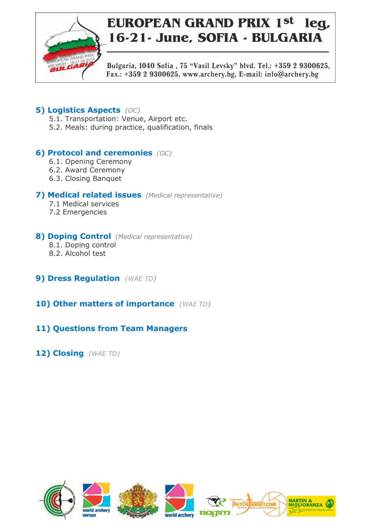

Bulgaria, 1040 Sofia, 75 "Vasil Levsky" blvd. Tel.: +359 2 9300625, Fax.: +359 2 9300625, www.archery.bg, E-mail: info@archery.bg

# **5) Logistics Aspects** *(OC)*

- 5.1. Transportation: Venue, Airport etc.
- 5.2. Meals: during practice, qualification, finals

# **6) Protocol and ceremonies** *(OC)*

- 6.1. Opening Ceremony
- 6.2. Award Ceremony
- 6.3. Closing Banquet

### **7) Medical related issues** *(Medical representative)*

- 7.1 Medical services
- 7.2 Emergencies

### **8) Doping Control** *(Medical representative)*

- 8.1. Doping control
- 8.2. Alcohol test
- **9) Dress Regulation** *(WAE TD)*
- **10) Other matters of importance** *(WAE TD)*

# **11) Questions from Team Managers**

**12) Closing** *(WAE TD)*

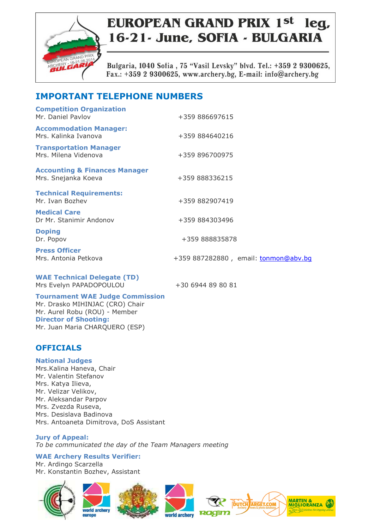

Bulgaria, 1040 Sofia, 75 "Vasil Levsky" blvd. Tel.: +359 2 9300625, Fax.: +359 2 9300625, www.archery.bg, E-mail: info@archery.bg

# **IMPORTANT TELEPHONE NUMBERS**

| <b>Competition Organization</b><br>Mr. Daniel Paylov            | +359 886697615                       |
|-----------------------------------------------------------------|--------------------------------------|
| <b>Accommodation Manager:</b><br>Mrs. Kalinka Ivanova           | +359 884640216                       |
| <b>Transportation Manager</b><br>Mrs. Milena Videnova           | +359 896700975                       |
| <b>Accounting &amp; Finances Manager</b><br>Mrs. Snejanka Koeva | +359 888336215                       |
| <b>Technical Requirements:</b><br>Mr. Ivan Bozhev               | +359 882907419                       |
| <b>Medical Care</b><br>Dr Mr. Stanimir Andonov                  | +359 884303496                       |
| <b>Doping</b><br>Dr. Popov                                      | +359 888835878                       |
| <b>Press Officer</b><br>Mrs. Antonia Petkova                    | +359 887282880, email: tonmon@abv.bq |
| <b>WAE Technical Delegate (TD)</b>                              |                                      |

Mrs Evelyn PAPADOPOULOU +30 6944 89 80 81

**Tournament WAE Judge Commission**  Mr. Drasko MIHINJAC (CRO) Chair Mr. Aurel Robu (ROU) - Member **Director of Shooting:**  Mr. Juan Maria CHARQUERO (ESP)

### **OFFICIALS**

**National Judges**  Mrs.Kalina Haneva, Chair Mr. Valentin Stefanov Mrs. Katya Ilieva, Mr. Velizar Velikov, Mr. Aleksandar Parpov Mrs. Zvezda Ruseva, Mrs. Desislava Badinova Mrs. Antoaneta Dimitrova, DoS Assistant

**Jury of Appeal:**  *To be communicated the day of the Team Managers meeting* 

**WAE Archery Results Verifier:** 

Mr. Ardingo Scarzella Mr. Konstantin Bozhev, Assistant









MARTIN &<br>MIGLIORANZA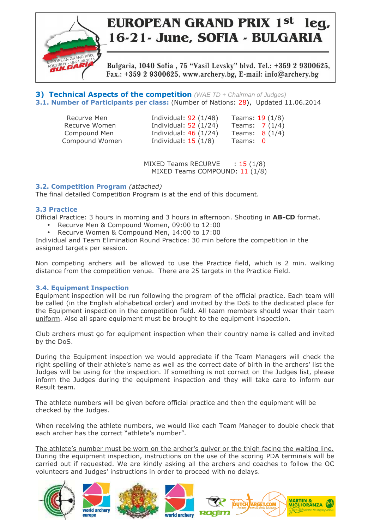

Bulgaria, 1040 Sofia, 75 "Vasil Levsky" blvd. Tel.: +359 2 9300625, Fax.: +359 2 9300625, www.archery.bg, E-mail: info@archery.bg

**3) Technical Aspects of the competition** (WAE TD + Chairman of Judges) **3.1. Number of Participants per class:** (Number of Nations: 28), Updated 11.06.2014

| Recurve Men    | Individual: $92(1/48)$ | Teams: $19(1/8)$ |
|----------------|------------------------|------------------|
| Recurve Women  | Individual: $52(1/24)$ | Teams: $7(1/4)$  |
| Compound Men   | Individual: $46(1/24)$ | Teams $8(1/4)$   |
| Compound Women | Individual: $15(1/8)$  | Teams: 0         |

MIXED Teams RECURVE : 15 (1/8) MIXED Teams COMPOUND: 11 (1/8)

#### **3.2. Competition Program** *(attached)*

The final detailed Competition Program is at the end of this document.

#### **3.3 Practice**

Official Practice: 3 hours in morning and 3 hours in afternoon. Shooting in **AB-CD** format.

- Recurve Men & Compound Women, 09:00 to 12:00
- Recurve Women & Compound Men, 14:00 to 17:00

Individual and Team Elimination Round Practice: 30 min before the competition in the assigned targets per session.

Non competing archers will be allowed to use the Practice field, which is 2 min. walking distance from the competition venue. There are 25 targets in the Practice Field.

### **3.4. Equipment Inspection**

Equipment inspection will be run following the program of the official practice. Each team will be called (in the English alphabetical order) and invited by the DoS to the dedicated place for the Equipment inspection in the competition field. All team members should wear their team uniform. Also all spare equipment must be brought to the equipment inspection.

Club archers must go for equipment inspection when their country name is called and invited by the DoS.

During the Equipment inspection we would appreciate if the Team Managers will check the right spelling of their athlete's name as well as the correct date of birth in the archers' list the Judges will be using for the inspection. If something is not correct on the Judges list, please inform the Judges during the equipment inspection and they will take care to inform our Result team.

The athlete numbers will be given before official practice and then the equipment will be checked by the Judges.

When receiving the athlete numbers, we would like each Team Manager to double check that each archer has the correct "athlete's number".

The athlete's number must be worn on the archer's quiver or the thigh facing the waiting line. During the equipment inspection, instructions on the use of the scoring PDA terminals will be carried out if requested. We are kindly asking all the archers and coaches to follow the OC volunteers and Judges' instructions in order to proceed with no delays.









**DUTCH ARGET.COM** 

MARTIN &<br>MIGLIORANZA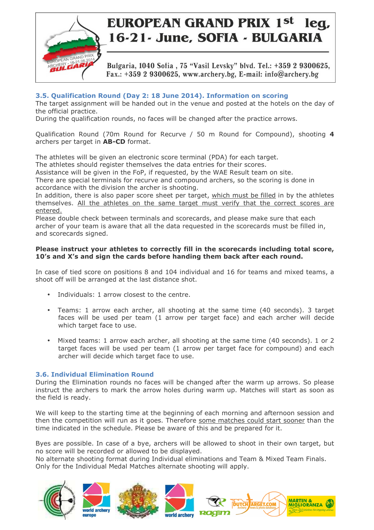

Bulgaria, 1040 Sofia, 75 "Vasil Levsky" blvd. Tel.: +359 2 9300625, Fax.: +359 2 9300625, www.archery.bg, E-mail: info@archery.bg

### **3.5. Qualification Round (Day 2: 18 June 2014). Information on scoring**

The target assignment will be handed out in the venue and posted at the hotels on the day of the official practice.

During the qualification rounds, no faces will be changed after the practice arrows.

Qualification Round (70m Round for Recurve / 50 m Round for Compound), shooting **4** archers per target in **AB-CD** format.

The athletes will be given an electronic score terminal (PDA) for each target.

The athletes should register themselves the data entries for their scores.

Assistance will be given in the FoP, if requested, by the WAE Result team on site.

There are special terminals for recurve and compound archers, so the scoring is done in accordance with the division the archer is shooting.

In addition, there is also paper score sheet per target, which must be filled in by the athletes themselves. All the athletes on the same target must verify that the correct scores are entered.

Please double check between terminals and scorecards, and please make sure that each archer of your team is aware that all the data requested in the scorecards must be filled in, and scorecards signed.

#### **Please instruct your athletes to correctly fill in the scorecards including total score, 10's and X's and sign the cards before handing them back after each round.**

In case of tied score on positions 8 and 104 individual and 16 for teams and mixed teams, a shoot off will be arranged at the last distance shot.

- Individuals: 1 arrow closest to the centre.
- Teams: 1 arrow each archer, all shooting at the same time (40 seconds). 3 target faces will be used per team (1 arrow per target face) and each archer will decide which target face to use.
- Mixed teams: 1 arrow each archer, all shooting at the same time (40 seconds). 1 or 2 target faces will be used per team (1 arrow per target face for compound) and each archer will decide which target face to use.

### **3.6. Individual Elimination Round**

During the Elimination rounds no faces will be changed after the warm up arrows. So please instruct the archers to mark the arrow holes during warm up. Matches will start as soon as the field is ready.

We will keep to the starting time at the beginning of each morning and afternoon session and then the competition will run as it goes. Therefore some matches could start sooner than the time indicated in the schedule. Please be aware of this and be prepared for it.

Byes are possible. In case of a bye, archers will be allowed to shoot in their own target, but no score will be recorded or allowed to be displayed.

No alternate shooting format during Individual eliminations and Team & Mixed Team Finals. Only for the Individual Medal Matches alternate shooting will apply.









**MARTIN &** 

MIGLIORANZA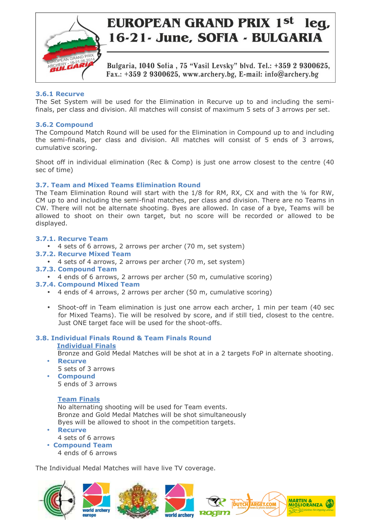

Bulgaria, 1040 Sofia, 75 "Vasil Levsky" blvd. Tel.: +359 2 9300625, Fax.: +359 2 9300625, www.archery.bg, E-mail: info@archery.bg

#### **3.6.1 Recurve**

The Set System will be used for the Elimination in Recurve up to and including the semifinals, per class and division. All matches will consist of maximum 5 sets of 3 arrows per set.

#### **3.6.2 Compound**

The Compound Match Round will be used for the Elimination in Compound up to and including the semi-finals, per class and division. All matches will consist of 5 ends of 3 arrows, cumulative scoring.

Shoot off in individual elimination (Rec & Comp) is just one arrow closest to the centre (40 sec of time)

### **3.7. Team and Mixed Teams Elimination Round**

The Team Elimination Round will start with the 1/8 for RM, RX, CX and with the 1/4 for RW, CM up to and including the semi-final matches, per class and division. There are no Teams in CW. There will not be alternate shooting. Byes are allowed. In case of a bye, Teams will be allowed to shoot on their own target, but no score will be recorded or allowed to be displayed.

#### **3.7.1. Recurve Team**

- 4 sets of 6 arrows, 2 arrows per archer (70 m, set system)
- **3.7.2. Recurve Mixed Team**
	- 4 sets of 4 arrows, 2 arrows per archer (70 m, set system)
- **3.7.3. Compound Team**
	- 4 ends of 6 arrows, 2 arrows per archer (50 m, cumulative scoring)
- **3.7.4. Compound Mixed Team**
	- 4 ends of 4 arrows, 2 arrows per archer (50 m, cumulative scoring)
	- Shoot-off in Team elimination is just one arrow each archer, 1 min per team (40 sec for Mixed Teams). Tie will be resolved by score, and if still tied, closest to the centre. Just ONE target face will be used for the shoot-offs.

### **3.8. Individual Finals Round & Team Finals Round**

#### **Individual Finals**

 Bronze and Gold Medal Matches will be shot at in a 2 targets FoP in alternate shooting. • **Recurve**

MARTIN &<br>MIGLIORANZA

**DUTCH ARGET.COM** 

- 5 sets of 3 arrows
- **Compound**  5 ends of 3 arrows

### **Team Finals**

 No alternating shooting will be used for Team events. Bronze and Gold Medal Matches will be shot simultaneously Byes will be allowed to shoot in the competition targets.

- **Recurve**
- 4 sets of 6 arrows • **Compound Team** 
	- 4 ends of 6 arrows

The Individual Medal Matches will have live TV coverage.





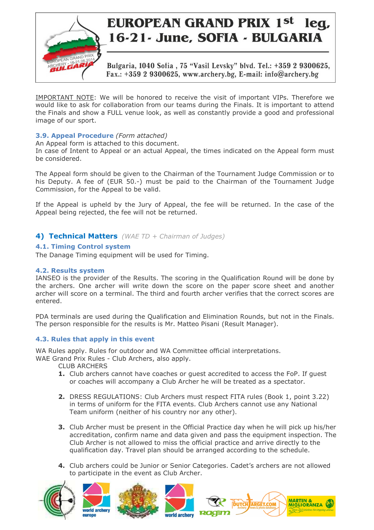

Bulgaria, 1040 Sofia, 75 "Vasil Levsky" blvd. Tel.: +359 2 9300625, Fax.: +359 2 9300625, www.archery.bg, E-mail: info@archery.bg

IMPORTANT NOTE: We will be honored to receive the visit of important VIPs. Therefore we would like to ask for collaboration from our teams during the Finals. It is important to attend the Finals and show a FULL venue look, as well as constantly provide a good and professional image of our sport.

#### **3.9. Appeal Procedure** *(Form attached)*

An Appeal form is attached to this document.

In case of Intent to Appeal or an actual Appeal, the times indicated on the Appeal form must be considered.

The Appeal form should be given to the Chairman of the Tournament Judge Commission or to his Deputy. A fee of (EUR 50.-) must be paid to the Chairman of the Tournament Judge Commission, for the Appeal to be valid.

If the Appeal is upheld by the Jury of Appeal, the fee will be returned. In the case of the Appeal being rejected, the fee will not be returned.

### **4) Technical Matters** *(WAE TD + Chairman of Judges)*

### **4.1. Timing Control system**

The Danage Timing equipment will be used for Timing.

#### **4.2. Results system**

IANSEO is the provider of the Results. The scoring in the Qualification Round will be done by the archers. One archer will write down the score on the paper score sheet and another archer will score on a terminal. The third and fourth archer verifies that the correct scores are entered.

PDA terminals are used during the Qualification and Elimination Rounds, but not in the Finals. The person responsible for the results is Mr. Matteo Pisani (Result Manager).

### **4.3. Rules that apply in this event**

WA Rules apply. Rules for outdoor and WA Committee official interpretations.

WAE Grand Prix Rules - Club Archers, also apply.

CLUB ARCHERS

- **1.** Club archers cannot have coaches or guest accredited to access the FoP. If guest or coaches will accompany a Club Archer he will be treated as a spectator.
- **2.** DRESS REGULATIONS: Club Archers must respect FITA rules (Book 1, point 3.22) in terms of uniform for the FITA events. Club Archers cannot use any National Team uniform (neither of his country nor any other).
- **3.** Club Archer must be present in the Official Practice day when he will pick up his/her accreditation, confirm name and data given and pass the equipment inspection. The Club Archer is not allowed to miss the official practice and arrive directly to the qualification day. Travel plan should be arranged according to the schedule.
- **4.** Club archers could be Junior or Senior Categories. Cadet's archers are not allowed to participate in the event as Club Archer.

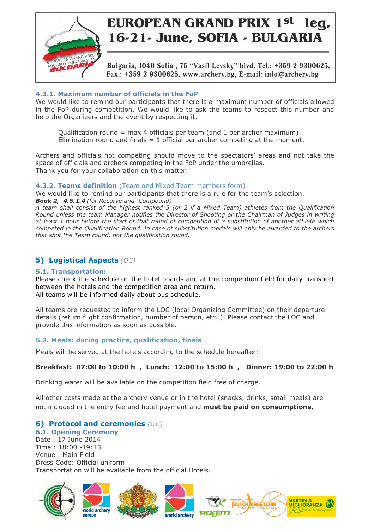

Bulgaria, 1040 Sofia, 75 "Vasil Levsky" blvd. Tel.: +359 2 9300625, Fax.: +359 2 9300625, www.archery.bg, E-mail: info@archery.bg

### **4.3.1. Maximum number of officials in the FoP**

We would like to remind our participants that there is a maximum number of officials allowed in the FoP during competition. We would like to ask the teams to respect this number and help the Organizers and the event by respecting it.

Qualification round = max 4 officials per team (and 1 per archer maximum) Elimination round and finals  $= 1$  official per archer competing at the moment.

Archers and officials not competing should move to the spectators' areas and not take the space of officials and archers competing in the FoP under the umbrellas. Thank you for your collaboration on this matter.

### **4.3.2. Teams definition** (Team and Mixed Team members form)

We would like to remind our participants that there is a rule for the team's selection.

*Book 2, 4.5.1.4 (for Recurve and Compound) A team shall consist of the highest ranked 3 (or 2 if a Mixed Team) athletes from the Qualification Round unless the team Manager notifies the Director of Shooting or the Chairman of Judges in writing at least 1 hour before the start of that round of competition of a substitution of another athlete which competed in the Qualification Round. In case of substitution medals will only be awarded to the archers that shot the Team round, not the qualification round.* 

### **5) Logistical Aspects** *(OC)*

### **5.1. Transportation:**

Please check the schedule on the hotel boards and at the competition field for daily transport between the hotels and the competition area and return. All teams will be informed daily about bus schedule.

All teams are requested to inform the LOC (local Organizing Committee) on their departure details (return flight confirmation, number of person, etc..). Please contact the LOC and provide this information as soon as possible.

### **5.2. Meals: during practice, qualification, finals**

Meals will be served at the hotels according to the schedule hereafter:

### **Breakfast: 07:00 to 10:00 h , Lunch: 12:00 to 15:00 h , Dinner: 19:00 to 22:00 h**

Drinking water will be available on the competition field free of charge.

All other costs made at the archery venue or in the hotel (snacks, drinks, small meals) are not included in the entry fee and hotel payment and **must be paid on consumptions**.

### **6) Protocol and ceremonies** *(OC)*

**6.1. Opening Ceremony**  Date : 17 June 2014 Time : 18:00 -19:15 Venue : Main Field Dress Code: Official uniform Transportation will be available from the official Hotels.

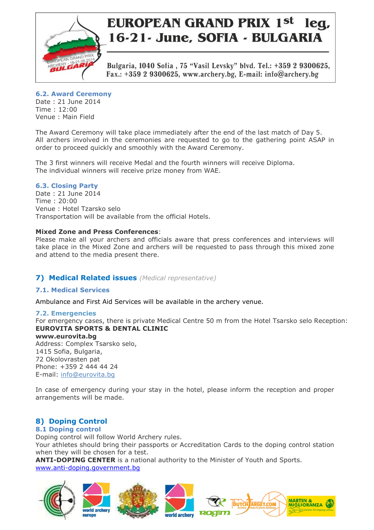

Bulgaria, 1040 Sofia, 75 "Vasil Levsky" blvd. Tel.: +359 2 9300625, Fax.: +359 2 9300625, www.archery.bg, E-mail: info@archery.bg

### **6.2. Award Ceremony**

Date : 21 June 2014 Time : 12:00 Venue : Main Field

The Award Ceremony will take place immediately after the end of the last match of Day 5. All archers involved in the ceremonies are requested to go to the gathering point ASAP in order to proceed quickly and smoothly with the Award Ceremony.

The 3 first winners will receive Medal and the fourth winners will receive Diploma. The individual winners will receive prize money from WAE.

### **6.3. Closing Party**

Date : 21 June 2014 Time : 20:00 Venue : Hotel Tzarsko selo Transportation will be available from the official Hotels.

### **Mixed Zone and Press Conferences**:

Please make all your archers and officials aware that press conferences and interviews will take place in the Mixed Zone and archers will be requested to pass through this mixed zone and attend to the media present there.

### **7) Medical Related issues** *(Medical representative)*

### **7.1. Medical Services**

Ambulance and First Aid Services will be available in the archery venue.

### **7.2. Emergencies**

For emergency cases, there is private Medical Centre 50 m from the Hotel Tsarsko selo Reception: **EUROVITA SPORTS & DENTAL CLINIC** 

### **www.eurovita.bg**

Address: Complex Tsarsko selo, 1415 Sofia, Bulgaria, 72 Okolovrasten pat Phone: +359 2 444 44 24 E-mail: info@eurovita.bg

In case of emergency during your stay in the hotel, please inform the reception and proper arrangements will be made.

### **8) Doping Control**

### **8.1 Doping control**

Doping control will follow World Archery rules.

Your athletes should bring their passports or Accreditation Cards to the doping control station when they will be chosen for a test.

**ANTI-DOPING CENTER** is a national authority to the Minister of Youth and Sports. www.anti-doping.government.bg









**MARTIN &** 

MIGLIORANZA